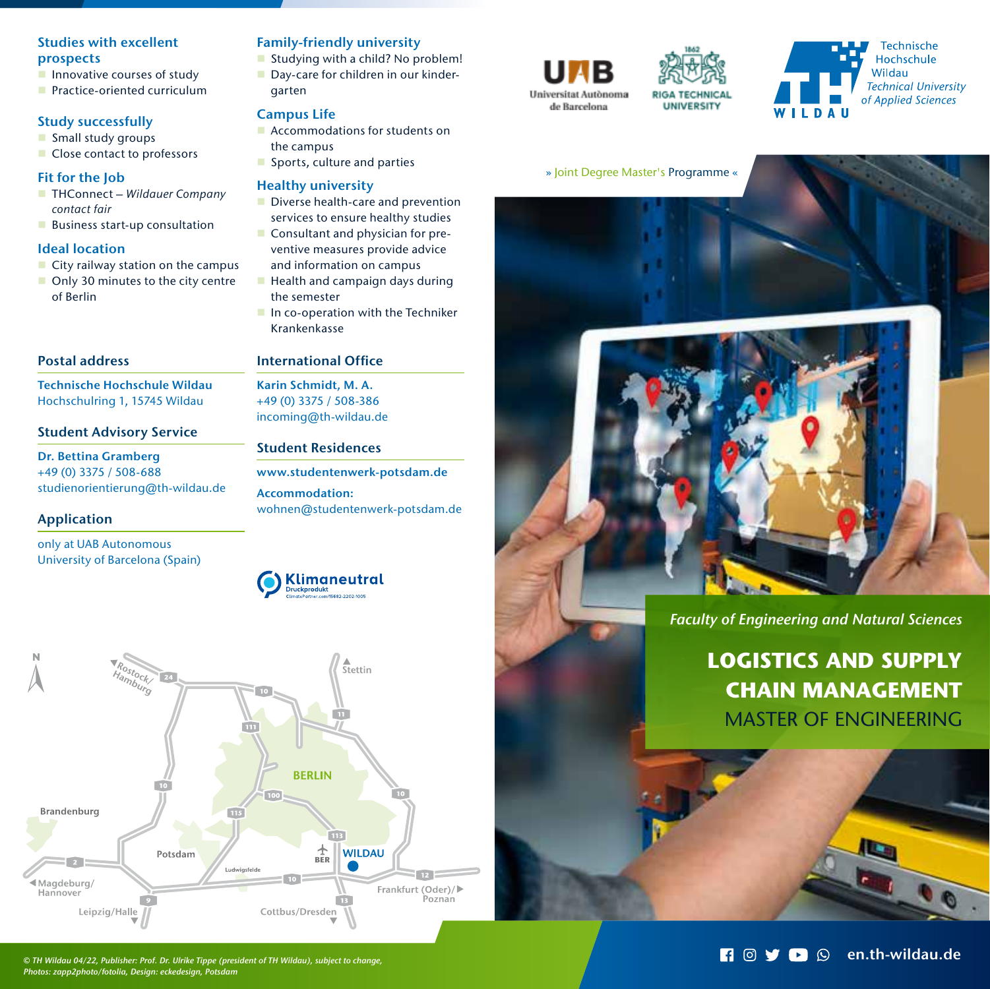# Studies with excellent prospects

- $\blacksquare$  Innovative courses of study
- **Practice-oriented curriculum**

# Study successfully

- **Small study groups**
- Close contact to professors

# Fit for the Job

- THConnect Wildauer Company contact fair
- **Business start-up consultation**

# Ideal location

- $\blacksquare$  City railway station on the campus
- Only 30 minutes to the city centre of Berlin

# Postal address

Technische Hochschule Wildau Hochschulring 1, 15745 Wildau

# Student Advisory Service

Dr. Bettina Gramberg +49 (0) 3375 / 508-688 studienorientierung@th-wildau.de

# Application

Brandenburg

Magdeburg/

Leipzig/Halle

Hannover

only at UAB Autonomous University of Barcelona (Spain)

# Family-friendly university

Studying with a child? No problem! Day-care for children in our kindergarten

# Campus Life

- **Accommodations for students on** the campus
- Sports, culture and parties

# Healthy university

- Diverse health-care and prevention services to ensure healthy studies
- Consultant and physician for preventive measures provide advice
- and information on campus
- $\blacksquare$  Health and campaign days during the semester
- In co-operation with the Techniker Krankenkasse

# International Office

Karin Schmidt, M. A. +49 (0) 3375 / 508-386 incoming@th-wildau.de

# Student Residences

**Klimaneutral** 

 $\frac{1}{\text{BER}}$ 

Cottbus/Dresden

**WILDAU** 

Frankfurt (Oder)/

Poznan

**BERLIN** 

www.studentenwerk-potsdam.de Accommodation: wohnen@studentenwerk-potsdam.de



Potsdam

 $115$ 

Ludwiasfeld







## » Joint Degree Master's Programme «



*Faculty of Engineering and Natural Sciences*

# **LOGISTICS AND SUPPLY CHAIN MANAGEMENT** MASTER OF ENGINEERING